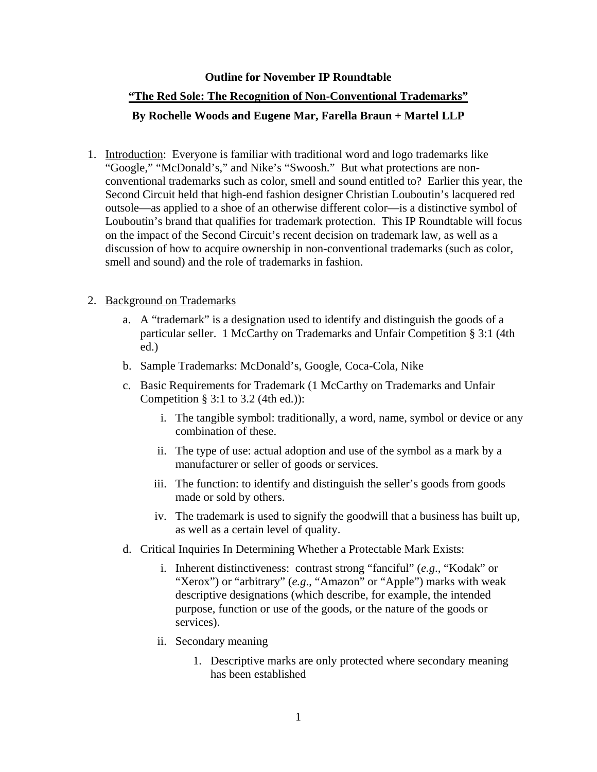### **Outline for November IP Roundtable**

# **"The Red Sole: The Recognition of Non-Conventional Trademarks" By Rochelle Woods and Eugene Mar, Farella Braun + Martel LLP**

1. Introduction: Everyone is familiar with traditional word and logo trademarks like "Google," "McDonald's," and Nike's "Swoosh." But what protections are nonconventional trademarks such as color, smell and sound entitled to? Earlier this year, the Second Circuit held that high-end fashion designer Christian Louboutin's lacquered red outsole—as applied to a shoe of an otherwise different color—is a distinctive symbol of Louboutin's brand that qualifies for trademark protection. This IP Roundtable will focus on the impact of the Second Circuit's recent decision on trademark law, as well as a discussion of how to acquire ownership in non-conventional trademarks (such as color, smell and sound) and the role of trademarks in fashion.

# 2. Background on Trademarks

- a. A "trademark" is a designation used to identify and distinguish the goods of a particular seller. 1 McCarthy on Trademarks and Unfair Competition § 3:1 (4th ed.)
- b. Sample Trademarks: McDonald's, Google, Coca-Cola, Nike
- c. Basic Requirements for Trademark (1 McCarthy on Trademarks and Unfair Competition § 3:1 to 3.2 (4th ed.)):
	- i. The tangible symbol: traditionally, a word, name, symbol or device or any combination of these.
	- ii. The type of use: actual adoption and use of the symbol as a mark by a manufacturer or seller of goods or services.
	- iii. The function: to identify and distinguish the seller's goods from goods made or sold by others.
	- iv. The trademark is used to signify the goodwill that a business has built up, as well as a certain level of quality.
- d. Critical Inquiries In Determining Whether a Protectable Mark Exists:
	- i. Inherent distinctiveness: contrast strong "fanciful" (*e.g*., "Kodak" or "Xerox") or "arbitrary" (*e.g.*, "Amazon" or "Apple") marks with weak descriptive designations (which describe, for example, the intended purpose, function or use of the goods, or the nature of the goods or services).
	- ii. Secondary meaning
		- 1. Descriptive marks are only protected where secondary meaning has been established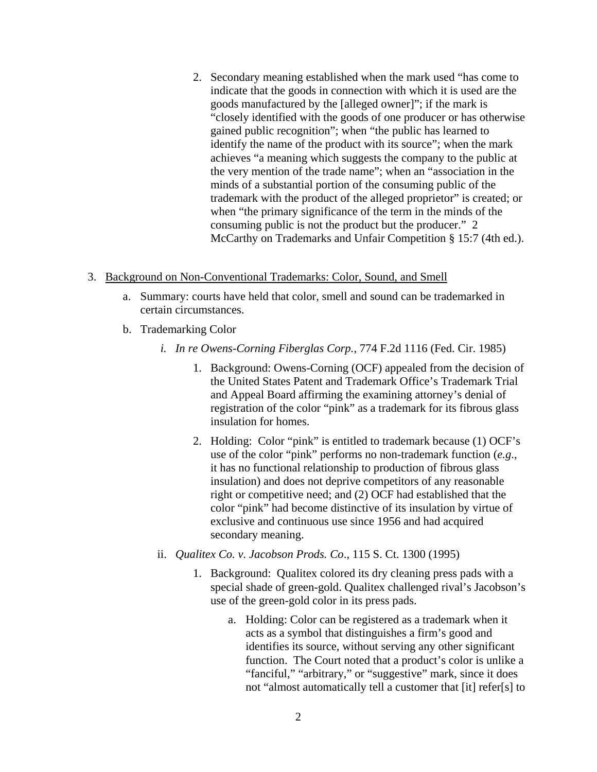2. Secondary meaning established when the mark used "has come to indicate that the goods in connection with which it is used are the goods manufactured by the [alleged owner]"; if the mark is "closely identified with the goods of one producer or has otherwise gained public recognition"; when "the public has learned to identify the name of the product with its source"; when the mark achieves "a meaning which suggests the company to the public at the very mention of the trade name"; when an "association in the minds of a substantial portion of the consuming public of the trademark with the product of the alleged proprietor" is created; or when "the primary significance of the term in the minds of the consuming public is not the product but the producer." 2 McCarthy on Trademarks and Unfair Competition § 15:7 (4th ed.).

## 3. Background on Non-Conventional Trademarks: Color, Sound, and Smell

- a. Summary: courts have held that color, smell and sound can be trademarked in certain circumstances.
- b. Trademarking Color
	- *i. In re Owens-Corning Fiberglas Corp.*, 774 F.2d 1116 (Fed. Cir. 1985)
		- 1. Background: Owens-Corning (OCF) appealed from the decision of the United States Patent and Trademark Office's Trademark Trial and Appeal Board affirming the examining attorney's denial of registration of the color "pink" as a trademark for its fibrous glass insulation for homes.
		- 2. Holding: Color "pink" is entitled to trademark because (1) OCF's use of the color "pink" performs no non-trademark function (*e.g*., it has no functional relationship to production of fibrous glass insulation) and does not deprive competitors of any reasonable right or competitive need; and (2) OCF had established that the color "pink" had become distinctive of its insulation by virtue of exclusive and continuous use since 1956 and had acquired secondary meaning.
	- ii. *Qualitex Co. v. Jacobson Prods. Co*., 115 S. Ct. 1300 (1995)
		- 1. Background: Qualitex colored its dry cleaning press pads with a special shade of green-gold. Qualitex challenged rival's Jacobson's use of the green-gold color in its press pads.
			- a. Holding: Color can be registered as a trademark when it acts as a symbol that distinguishes a firm's good and identifies its source, without serving any other significant function. The Court noted that a product's color is unlike a "fanciful," "arbitrary," or "suggestive" mark, since it does not "almost automatically tell a customer that [it] refer[s] to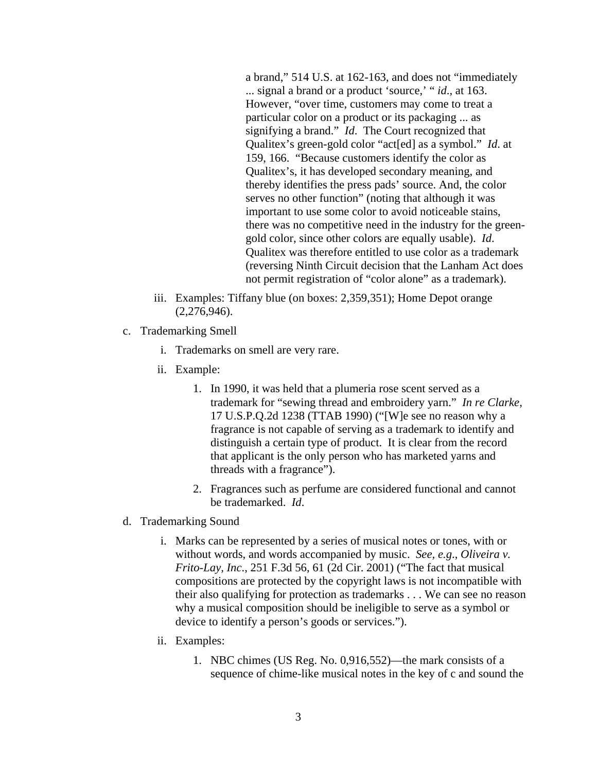a brand," 514 U.S. at 162-163, and does not "immediately ... signal a brand or a product 'source,' " *id*., at 163. However, "over time, customers may come to treat a particular color on a product or its packaging ... as signifying a brand." *Id*. The Court recognized that Qualitex's green-gold color "act[ed] as a symbol." *Id*. at 159, 166. "Because customers identify the color as Qualitex's, it has developed secondary meaning, and thereby identifies the press pads' source. And, the color serves no other function" (noting that although it was important to use some color to avoid noticeable stains, there was no competitive need in the industry for the greengold color, since other colors are equally usable). *Id*. Qualitex was therefore entitled to use color as a trademark (reversing Ninth Circuit decision that the Lanham Act does not permit registration of "color alone" as a trademark).

- iii. Examples: Tiffany blue (on boxes: 2,359,351); Home Depot orange (2,276,946).
- c. Trademarking Smell
	- i. Trademarks on smell are very rare.
	- ii. Example:
		- 1. In 1990, it was held that a plumeria rose scent served as a trademark for "sewing thread and embroidery yarn." *In re Clarke*, 17 U.S.P.Q.2d 1238 (TTAB 1990) ("[W]e see no reason why a fragrance is not capable of serving as a trademark to identify and distinguish a certain type of product. It is clear from the record that applicant is the only person who has marketed yarns and threads with a fragrance").
		- 2. Fragrances such as perfume are considered functional and cannot be trademarked. *Id*.
- d. Trademarking Sound
	- i. Marks can be represented by a series of musical notes or tones, with or without words, and words accompanied by music. *See, e.g*., *Oliveira v. Frito-Lay, Inc*., 251 F.3d 56, 61 (2d Cir. 2001) ("The fact that musical compositions are protected by the copyright laws is not incompatible with their also qualifying for protection as trademarks . . . We can see no reason why a musical composition should be ineligible to serve as a symbol or device to identify a person's goods or services.").
	- ii. Examples:
		- 1. NBC chimes (US Reg. No. 0,916,552)—the mark consists of a sequence of chime-like musical notes in the key of c and sound the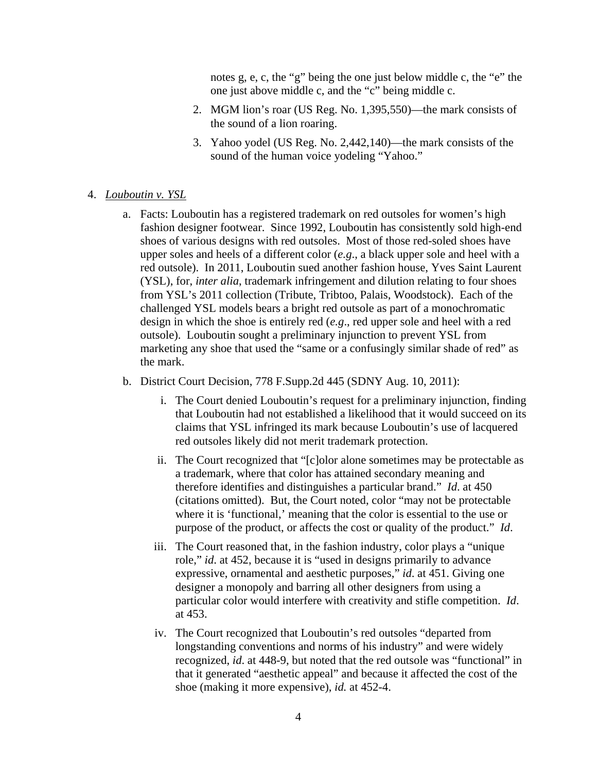notes g, e, c, the "g" being the one just below middle c, the "e" the one just above middle c, and the "c" being middle c.

- 2. MGM lion's roar (US Reg. No. 1,395,550)—the mark consists of the sound of a lion roaring.
- 3. Yahoo yodel (US Reg. No. 2,442,140)—the mark consists of the sound of the human voice yodeling "Yahoo."
- 4. *Louboutin v. YSL*
	- a. Facts: Louboutin has a registered trademark on red outsoles for women's high fashion designer footwear. Since 1992, Louboutin has consistently sold high-end shoes of various designs with red outsoles. Most of those red-soled shoes have upper soles and heels of a different color (*e.g*., a black upper sole and heel with a red outsole). In 2011, Louboutin sued another fashion house, Yves Saint Laurent (YSL), for, *inter alia*, trademark infringement and dilution relating to four shoes from YSL's 2011 collection (Tribute, Tribtoo, Palais, Woodstock). Each of the challenged YSL models bears a bright red outsole as part of a monochromatic design in which the shoe is entirely red (*e.g*., red upper sole and heel with a red outsole). Louboutin sought a preliminary injunction to prevent YSL from marketing any shoe that used the "same or a confusingly similar shade of red" as the mark.
	- b. District Court Decision, 778 F.Supp.2d 445 (SDNY Aug. 10, 2011):
		- i. The Court denied Louboutin's request for a preliminary injunction, finding that Louboutin had not established a likelihood that it would succeed on its claims that YSL infringed its mark because Louboutin's use of lacquered red outsoles likely did not merit trademark protection.
		- ii. The Court recognized that "[c]olor alone sometimes may be protectable as a trademark, where that color has attained secondary meaning and therefore identifies and distinguishes a particular brand." *Id*. at 450 (citations omitted). But, the Court noted, color "may not be protectable where it is 'functional,' meaning that the color is essential to the use or purpose of the product, or affects the cost or quality of the product." *Id*.
		- iii. The Court reasoned that, in the fashion industry, color plays a "unique role," *id*. at 452, because it is "used in designs primarily to advance expressive, ornamental and aesthetic purposes," *id*. at 451. Giving one designer a monopoly and barring all other designers from using a particular color would interfere with creativity and stifle competition. *Id*. at 453.
		- iv. The Court recognized that Louboutin's red outsoles "departed from longstanding conventions and norms of his industry" and were widely recognized, *id*. at 448-9, but noted that the red outsole was "functional" in that it generated "aesthetic appeal" and because it affected the cost of the shoe (making it more expensive), *id.* at 452-4.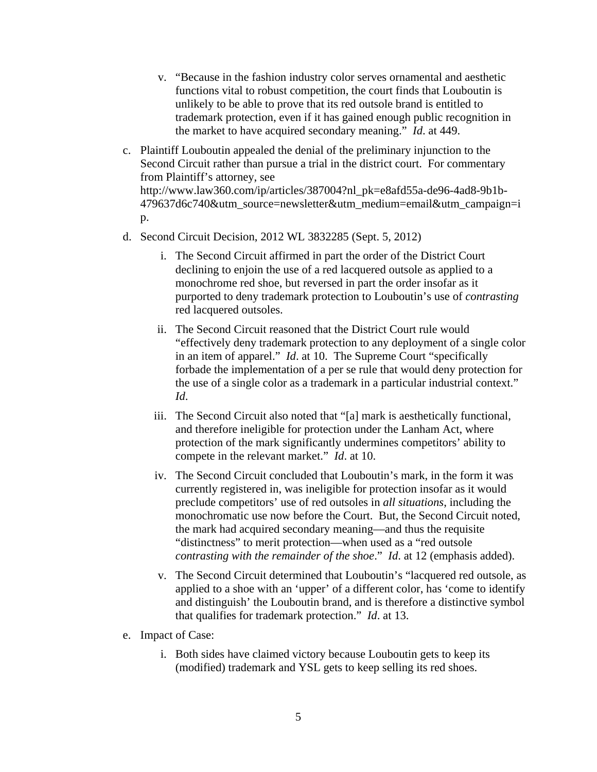- v. "Because in the fashion industry color serves ornamental and aesthetic functions vital to robust competition, the court finds that Louboutin is unlikely to be able to prove that its red outsole brand is entitled to trademark protection, even if it has gained enough public recognition in the market to have acquired secondary meaning." *Id*. at 449.
- c. Plaintiff Louboutin appealed the denial of the preliminary injunction to the Second Circuit rather than pursue a trial in the district court. For commentary from Plaintiff's attorney, see http://www.law360.com/ip/articles/387004?nl\_pk=e8afd55a-de96-4ad8-9b1b-479637d6c740&utm\_source=newsletter&utm\_medium=email&utm\_campaign=i p.
- d. Second Circuit Decision, 2012 WL 3832285 (Sept. 5, 2012)
	- i. The Second Circuit affirmed in part the order of the District Court declining to enjoin the use of a red lacquered outsole as applied to a monochrome red shoe, but reversed in part the order insofar as it purported to deny trademark protection to Louboutin's use of *contrasting* red lacquered outsoles.
	- ii. The Second Circuit reasoned that the District Court rule would "effectively deny trademark protection to any deployment of a single color in an item of apparel." *Id*. at 10. The Supreme Court "specifically forbade the implementation of a per se rule that would deny protection for the use of a single color as a trademark in a particular industrial context." *Id*.
	- iii. The Second Circuit also noted that "[a] mark is aesthetically functional, and therefore ineligible for protection under the Lanham Act, where protection of the mark significantly undermines competitors' ability to compete in the relevant market." *Id*. at 10.
	- iv. The Second Circuit concluded that Louboutin's mark, in the form it was currently registered in, was ineligible for protection insofar as it would preclude competitors' use of red outsoles in *all situations*, including the monochromatic use now before the Court. But, the Second Circuit noted, the mark had acquired secondary meaning—and thus the requisite "distinctness" to merit protection—when used as a "red outsole *contrasting with the remainder of the shoe*." *Id*. at 12 (emphasis added).
	- v. The Second Circuit determined that Louboutin's "lacquered red outsole, as applied to a shoe with an 'upper' of a different color, has 'come to identify and distinguish' the Louboutin brand, and is therefore a distinctive symbol that qualifies for trademark protection." *Id*. at 13.
- e. Impact of Case:
	- i. Both sides have claimed victory because Louboutin gets to keep its (modified) trademark and YSL gets to keep selling its red shoes.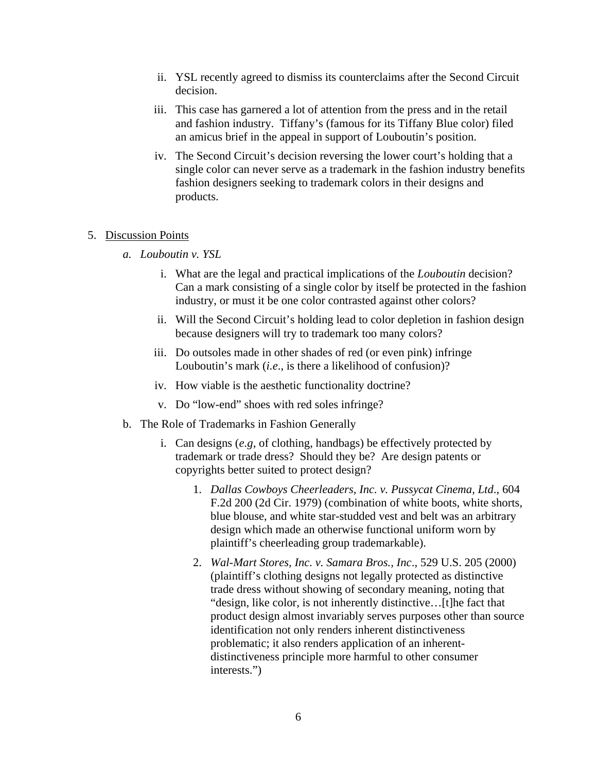- ii. YSL recently agreed to dismiss its counterclaims after the Second Circuit decision.
- iii. This case has garnered a lot of attention from the press and in the retail and fashion industry. Tiffany's (famous for its Tiffany Blue color) filed an amicus brief in the appeal in support of Louboutin's position.
- iv. The Second Circuit's decision reversing the lower court's holding that a single color can never serve as a trademark in the fashion industry benefits fashion designers seeking to trademark colors in their designs and products.

#### 5. Discussion Points

- *a. Louboutin v. YSL* 
	- i. What are the legal and practical implications of the *Louboutin* decision? Can a mark consisting of a single color by itself be protected in the fashion industry, or must it be one color contrasted against other colors?
	- ii. Will the Second Circuit's holding lead to color depletion in fashion design because designers will try to trademark too many colors?
	- iii. Do outsoles made in other shades of red (or even pink) infringe Louboutin's mark (*i.e*., is there a likelihood of confusion)?
	- iv. How viable is the aesthetic functionality doctrine?
	- v. Do "low-end" shoes with red soles infringe?
- b. The Role of Trademarks in Fashion Generally
	- i. Can designs (*e.g*, of clothing, handbags) be effectively protected by trademark or trade dress? Should they be? Are design patents or copyrights better suited to protect design?
		- 1. *Dallas Cowboys Cheerleaders, Inc. v. Pussycat Cinema, Ltd*., 604 F.2d 200 (2d Cir. 1979) (combination of white boots, white shorts, blue blouse, and white star-studded vest and belt was an arbitrary design which made an otherwise functional uniform worn by plaintiff's cheerleading group trademarkable).
		- 2. *Wal-Mart Stores, Inc. v. Samara Bros., Inc*., 529 U.S. 205 (2000) (plaintiff's clothing designs not legally protected as distinctive trade dress without showing of secondary meaning, noting that "design, like color, is not inherently distinctive…[t]he fact that product design almost invariably serves purposes other than source identification not only renders inherent distinctiveness problematic; it also renders application of an inherentdistinctiveness principle more harmful to other consumer interests.")